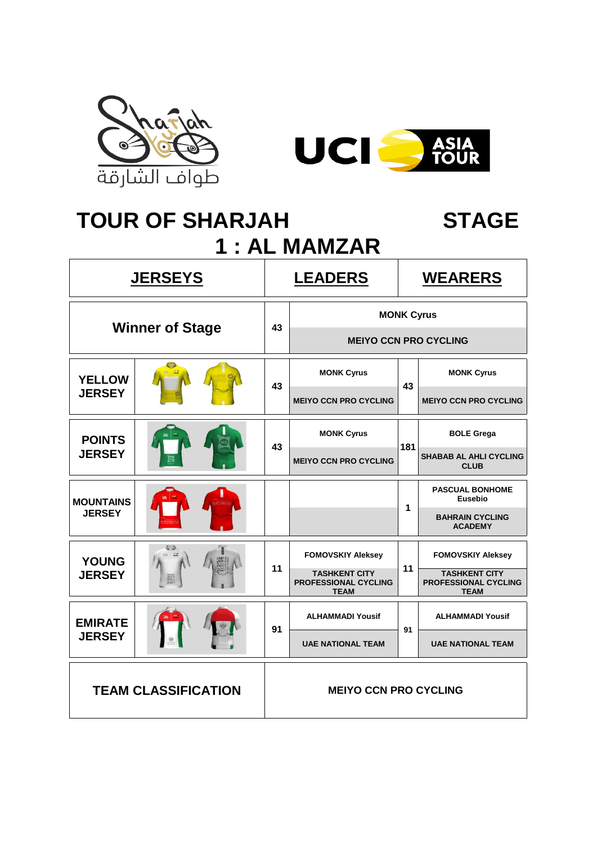



# TOUR OF SHARJAH STAGE **1 : AL MAMZAR**

|                            | <u>JERSEYS</u>         | <b>LEADERS</b> |                                                                    | <b>WEARERS</b>    |                                                                    |  |
|----------------------------|------------------------|----------------|--------------------------------------------------------------------|-------------------|--------------------------------------------------------------------|--|
|                            | <b>Winner of Stage</b> | 43             |                                                                    | <b>MONK Cyrus</b> |                                                                    |  |
|                            |                        |                |                                                                    |                   | <b>MEIYO CCN PRO CYCLING</b>                                       |  |
| <b>YELLOW</b>              |                        | 43             | <b>MONK Cyrus</b>                                                  | 43                | <b>MONK Cyrus</b>                                                  |  |
| <b>JERSEY</b>              |                        |                | <b>MEIYO CCN PRO CYCLING</b>                                       |                   | <b>MEIYO CCN PRO CYCLING</b>                                       |  |
| <b>POINTS</b>              |                        | 43             | <b>MONK Cyrus</b>                                                  | 181               | <b>BOLE Grega</b>                                                  |  |
| <b>JERSEY</b>              |                        |                | <b>MEIYO CCN PRO CYCLING</b>                                       |                   | <b>SHABAB AL AHLI CYCLING</b><br><b>CLUB</b>                       |  |
| <b>MOUNTAINS</b>           |                        |                |                                                                    | 1                 | <b>PASCUAL BONHOME</b><br>Eusebio                                  |  |
| <b>JERSEY</b>              |                        |                |                                                                    |                   | <b>BAHRAIN CYCLING</b><br><b>ACADEMY</b>                           |  |
| <b>YOUNG</b>               |                        |                | <b>FOMOVSKIY Aleksey</b>                                           |                   | <b>FOMOVSKIY Aleksey</b>                                           |  |
| <b>JERSEY</b>              | 羅                      | 11             | <b>TASHKENT CITY</b><br><b>PROFESSIONAL CYCLING</b><br><b>TEAM</b> | 11                | <b>TASHKENT CITY</b><br><b>PROFESSIONAL CYCLING</b><br><b>TEAM</b> |  |
| <b>EMIRATE</b>             |                        | 91             | <b>ALHAMMADI Yousif</b>                                            | 91                | <b>ALHAMMADI Yousif</b>                                            |  |
| <b>JERSEY</b>              |                        |                | <b>UAE NATIONAL TEAM</b>                                           |                   | <b>UAE NATIONAL TEAM</b>                                           |  |
| <b>TEAM CLASSIFICATION</b> |                        |                | <b>MEIYO CCN PRO CYCLING</b>                                       |                   |                                                                    |  |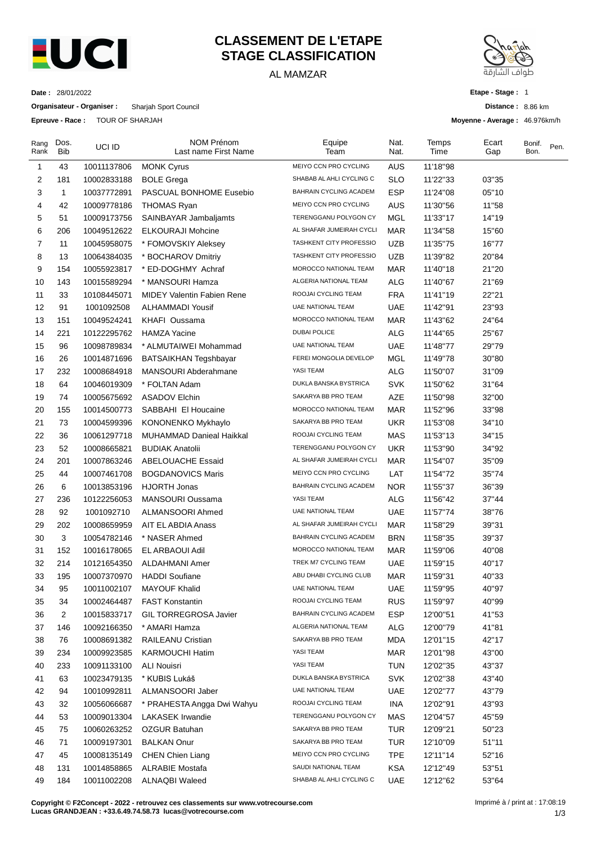

## **CLASSEMENT DE L'ETAPE STAGE CLASSIFICATION**

## AL MAMZAR



**Etape - Stage :** 1

**Distance :** 8.86 km

**Moyenne - Average :** 46.976km/h

**Date :** 28/01/2022

**Organisateur - Organiser :** Sharjah Sport Council

**Epreuve - Race :** TOUR OF SHARJAH

| Rang<br>Rank   | Dos.<br><b>Bib</b> | UCI ID      | <b>NOM Prénom</b><br>Last name First Name | Equipe<br>Team                 | Nat.<br>Nat. | Temps<br>Time | Ecart<br>Gap | Bonif.<br>Bon. | Pen. |
|----------------|--------------------|-------------|-------------------------------------------|--------------------------------|--------------|---------------|--------------|----------------|------|
| $\mathbf{1}$   | 43                 | 10011137806 | <b>MONK Cyrus</b>                         | MEIYO CCN PRO CYCLING          | <b>AUS</b>   | 11'18"98      |              |                |      |
| $\overline{2}$ | 181                | 10002833188 | <b>BOLE Grega</b>                         | SHABAB AL AHLI CYCLING C       | <b>SLO</b>   | 11'22"33      | 03"35        |                |      |
| 3              | $\mathbf{1}$       | 10037772891 | PASCUAL BONHOME Eusebio                   | BAHRAIN CYCLING ACADEM         | <b>ESP</b>   | 11'24"08      | 05"10        |                |      |
| $\overline{4}$ | 42                 | 10009778186 | <b>THOMAS Ryan</b>                        | MEIYO CCN PRO CYCLING          | <b>AUS</b>   | 11'30"56      | 11"58        |                |      |
| 5              | 51                 | 10009173756 | SAINBAYAR Jambaljamts                     | TERENGGANU POLYGON CY          | MGL          | 11'33"17      | 14"19        |                |      |
| 6              | 206                | 10049512622 | <b>ELKOURAJI Mohcine</b>                  | AL SHAFAR JUMEIRAH CYCLI       | <b>MAR</b>   | 11'34"58      | 15"60        |                |      |
| 7              | 11                 | 10045958075 | * FOMOVSKIY Aleksey                       | TASHKENT CITY PROFESSIO        | <b>UZB</b>   | 11'35"75      | 16"77        |                |      |
| 8              | 13                 | 10064384035 | * BOCHAROV Dmitriy                        | <b>TASHKENT CITY PROFESSIO</b> | <b>UZB</b>   | 11'39"82      | 20"84        |                |      |
| 9              | 154                | 10055923817 | * ED-DOGHMY Achraf                        | MOROCCO NATIONAL TEAM          | MAR          | 11'40"18      | 21"20        |                |      |
| 10             | 143                | 10015589294 | * MANSOURI Hamza                          | ALGERIA NATIONAL TEAM          | ALG          | 11'40"67      | 21"69        |                |      |
| 11             | 33                 | 10108445071 | <b>MIDEY Valentin Fabien Rene</b>         | ROOJAI CYCLING TEAM            | <b>FRA</b>   | 11'41"19      | 22"21        |                |      |
| 12             | 91                 | 1001092508  | ALHAMMADI Yousif                          | UAE NATIONAL TEAM              | <b>UAE</b>   | 11'42"91      | 23"93        |                |      |
| 13             | 151                | 10049524241 | KHAFI Oussama                             | MOROCCO NATIONAL TEAM          | <b>MAR</b>   | 11'43"62      | 24"64        |                |      |
| 14             | 221                | 10122295762 | <b>HAMZA Yacine</b>                       | <b>DUBAI POLICE</b>            | <b>ALG</b>   | 11'44"65      | 25"67        |                |      |
| 15             | 96                 | 10098789834 | * ALMUTAIWEI Mohammad                     | UAE NATIONAL TEAM              | <b>UAE</b>   | 11'48"77      | 29"79        |                |      |
| 16             | 26                 | 10014871696 | <b>BATSAIKHAN Tegshbayar</b>              | FEREI MONGOLIA DEVELOP         | MGL          | 11'49"78      | 30"80        |                |      |
| 17             | 232                | 10008684918 | MANSOURI Abderahmane                      | YASI TEAM                      | <b>ALG</b>   | 11'50"07      | 31"09        |                |      |
| 18             | 64                 | 10046019309 | * FOLTAN Adam                             | DUKLA BANSKA BYSTRICA          | <b>SVK</b>   | 11'50"62      | 31"64        |                |      |
| 19             | 74                 | 10005675692 | <b>ASADOV Elchin</b>                      | SAKARYA BB PRO TEAM            | AZE          | 11'50"98      | 32"00        |                |      |
| 20             | 155                | 10014500773 | SABBAHI El Houcaine                       | MOROCCO NATIONAL TEAM          | <b>MAR</b>   | 11'52"96      | 33"98        |                |      |
| 21             | 73                 | 10004599396 | KONONENKO Mykhaylo                        | SAKARYA BB PRO TEAM            | <b>UKR</b>   | 11'53"08      | 34"10        |                |      |
| 22             | 36                 | 10061297718 | MUHAMMAD Danieal Haikkal                  | ROOJAI CYCLING TEAM            | MAS          | 11'53"13      | 34"15        |                |      |
| 23             | 52                 | 10008665821 | <b>BUDIAK Anatolii</b>                    | TERENGGANU POLYGON CY          | <b>UKR</b>   | 11'53"90      | 34"92        |                |      |
| 24             | 201                | 10007863246 | <b>ABELOUACHE Essaid</b>                  | AL SHAFAR JUMEIRAH CYCLI       | <b>MAR</b>   | 11'54"07      | 35"09        |                |      |
| 25             | 44                 | 10007461708 | <b>BOGDANOVICS Maris</b>                  | MEIYO CCN PRO CYCLING          | LAT          | 11'54"72      | 35"74        |                |      |
| 26             | 6                  | 10013853196 | <b>HJORTH Jonas</b>                       | BAHRAIN CYCLING ACADEM         | <b>NOR</b>   | 11'55"37      | 36"39        |                |      |
| 27             | 236                | 10122256053 | MANSOURI Oussama                          | YASI TEAM                      | <b>ALG</b>   | 11'56"42      | 37"44        |                |      |
| 28             | 92                 | 1001092710  | ALMANSOORI Ahmed                          | UAE NATIONAL TEAM              | <b>UAE</b>   | 11'57"74      | 38"76        |                |      |
| 29             | 202                | 10008659959 | AIT EL ABDIA Anass                        | AL SHAFAR JUMEIRAH CYCLI       | <b>MAR</b>   | 11'58"29      | 39"31        |                |      |
| 30             | 3                  | 10054782146 | * NASER Ahmed                             | BAHRAIN CYCLING ACADEM         | <b>BRN</b>   | 11'58"35      | 39"37        |                |      |
| 31             | 152                | 10016178065 | EL ARBAOUI Adil                           | MOROCCO NATIONAL TEAM          | MAR          | 11'59"06      | 40"08        |                |      |
| 32             | 214                | 10121654350 | ALDAHMANI Amer                            | TREK M7 CYCLING TEAM           | <b>UAE</b>   | 11'59"15      | 40"17        |                |      |
| 33             | 195                | 10007370970 | <b>HADDI Soufiane</b>                     | ABU DHABI CYCLING CLUB         | <b>MAR</b>   | 11'59"31      | 40"33        |                |      |
| 34             | 95                 | 10011002107 | <b>MAYOUF Khalid</b>                      | UAE NATIONAL TEAM              | <b>UAE</b>   | 11'59"95      | 40"97        |                |      |
| 35             | 34                 | 10002464487 | <b>FAST Konstantin</b>                    | ROOJAI CYCLING TEAM            | <b>RUS</b>   | 11'59"97      | 40"99        |                |      |
| 36             | $\overline{2}$     | 10015833717 | <b>GIL TORREGROSA Javier</b>              | BAHRAIN CYCLING ACADEM         | <b>ESP</b>   | 12'00"51      | 41"53        |                |      |
| 37             | 146                | 10092166350 | * AMARI Hamza                             | ALGERIA NATIONAL TEAM          | <b>ALG</b>   | 12'00"79      | 41"81        |                |      |
| 38             | 76                 | 10008691382 | RAILEANU Cristian                         | SAKARYA BB PRO TEAM            | <b>MDA</b>   | 12'01"15      | 42"17        |                |      |
| 39             | 234                | 10009923585 | <b>KARMOUCHI Hatim</b>                    | YASI TEAM                      | <b>MAR</b>   | 12'01"98      | 43"00        |                |      |
| 40             | 233                | 10091133100 | ALI Nouisri                               | YASI TEAM                      | <b>TUN</b>   | 12'02"35      | 43"37        |                |      |
| 41             | 63                 | 10023479135 | * KUBIS Lukáš                             | DUKLA BANSKA BYSTRICA          | <b>SVK</b>   | 12'02"38      | 43"40        |                |      |
| 42             | 94                 | 10010992811 | ALMANSOORI Jaber                          | UAE NATIONAL TEAM              | <b>UAE</b>   | 12'02"77      | 43"79        |                |      |
| 43             | 32                 | 10056066687 | * PRAHESTA Angga Dwi Wahyu                | ROOJAI CYCLING TEAM            | INA          | 12'02"91      | 43"93        |                |      |
| 44             | 53                 | 10009013304 | LAKASEK Irwandie                          | TERENGGANU POLYGON CY          | MAS          | 12'04"57      | 45"59        |                |      |
| 45             | 75                 | 10060263252 | OZGUR Batuhan                             | SAKARYA BB PRO TEAM            | TUR          | 12'09"21      | 50"23        |                |      |
| 46             | 71                 | 10009197301 | <b>BALKAN Onur</b>                        | SAKARYA BB PRO TEAM            | <b>TUR</b>   | 12'10"09      | 51"11        |                |      |
| 47             | 45                 | 10008135149 | <b>CHEN Chien Liang</b>                   | MEIYO CCN PRO CYCLING          | <b>TPE</b>   | 12'11"14      | 52"16        |                |      |
| 48             | 131                | 10014858865 | <b>ALRABIE Mostafa</b>                    | SAUDI NATIONAL TEAM            | <b>KSA</b>   | 12'12"49      | 53"51        |                |      |
| 49             | 184                | 10011002208 | <b>ALNAQBI Waleed</b>                     | SHABAB AL AHLI CYCLING C       | <b>UAE</b>   | 12'12"62      | 53"64        |                |      |

**Copyright © F2Concept - 2022 - retrouvez ces classements sur www.votrecourse.com Lucas GRANDJEAN : +33.6.49.74.58.73 lucas@votrecourse.com**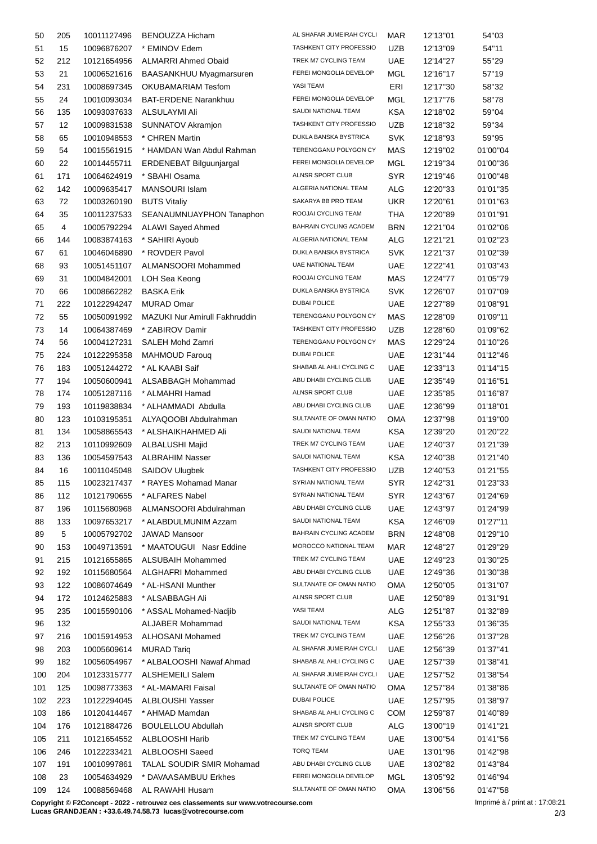| 50  | 205 | 10011127496 | BENOUZZA Hicham                   | AL SHAFAR JUMEIRAH CYCLI       | <b>MAR</b> | 12'13"01 | 54"03    |
|-----|-----|-------------|-----------------------------------|--------------------------------|------------|----------|----------|
| 51  | 15  | 10096876207 | * EMINOV Edem                     | TASHKENT CITY PROFESSIO        | UZB        | 12'13"09 | 54"11    |
| 52  | 212 | 10121654956 | <b>ALMARRI Ahmed Obaid</b>        | TREK M7 CYCLING TEAM           | UAE        | 12'14"27 | 55"29    |
| 53  | 21  | 10006521616 | BAASANKHUU Myagmarsuren           | FEREI MONGOLIA DEVELOP         | MGL        | 12'16"17 | 57"19    |
| 54  | 231 | 10008697345 | OKUBAMARIAM Tesfom                | YASI TEAM                      | ERI        | 12'17"30 | 58"32    |
| 55  | 24  | 10010093034 | <b>BAT-ERDENE Narankhuu</b>       | FEREI MONGOLIA DEVELOP         | <b>MGL</b> | 12'17"76 | 58"78    |
| 56  | 135 | 10093037633 | ALSULAYMI Ali                     | SAUDI NATIONAL TEAM            | <b>KSA</b> | 12'18"02 | 59"04    |
| 57  | 12  | 10009831538 | SUNNATOV Akramjon                 | TASHKENT CITY PROFESSIO        | <b>UZB</b> | 12'18"32 | 59"34    |
| 58  | 65  | 10010948553 | * CHREN Martin                    | DUKLA BANSKA BYSTRICA          | <b>SVK</b> | 12'18"93 | 59"95    |
| 59  | 54  | 10015561915 | * HAMDAN Wan Abdul Rahman         | TERENGGANU POLYGON CY          | MAS        | 12'19"02 | 01'00"04 |
| 60  | 22  | 10014455711 | ERDENEBAT Bilguunjargal           | FEREI MONGOLIA DEVELOP         | <b>MGL</b> | 12'19"34 | 01'00"36 |
| 61  | 171 | 10064624919 | * SBAHI Osama                     | ALNSR SPORT CLUB               | <b>SYR</b> | 12'19"46 | 01'00"48 |
| 62  | 142 | 10009635417 | <b>MANSOURI Islam</b>             | ALGERIA NATIONAL TEAM          | <b>ALG</b> | 12'20"33 | 01'01"35 |
| 63  | 72  | 10003260190 | <b>BUTS Vitaliy</b>               | SAKARYA BB PRO TEAM            | <b>UKR</b> | 12'20"61 | 01'01"63 |
| 64  | 35  | 10011237533 | SEANAUMNUAYPHON Tanaphon          | ROOJAI CYCLING TEAM            | THA        | 12'20"89 | 01'01"91 |
| 65  | 4   | 10005792294 | <b>ALAWI Sayed Ahmed</b>          | BAHRAIN CYCLING ACADEM         | BRN        | 12'21"04 | 01'02"06 |
| 66  | 144 | 10083874163 | * SAHIRI Ayoub                    | ALGERIA NATIONAL TEAM          | ALG        | 12'21"21 | 01'02"23 |
| 67  | 61  | 10046046890 | * ROVDER Pavol                    | DUKLA BANSKA BYSTRICA          | <b>SVK</b> | 12'21"37 | 01'02"39 |
| 68  | 93  | 10051451107 | ALMANSOORI Mohammed               | <b>UAE NATIONAL TEAM</b>       | <b>UAE</b> | 12'22"41 | 01'03"43 |
|     |     |             |                                   | ROOJAI CYCLING TEAM            |            |          |          |
| 69  | 31  | 10004842001 | LOH Sea Keong                     | DUKLA BANSKA BYSTRICA          | MAS        | 12'24"77 | 01'05"79 |
| 70  | 66  | 10008662282 | <b>BASKA Erik</b>                 |                                | <b>SVK</b> | 12'26"07 | 01'07"09 |
| 71  | 222 | 10122294247 | <b>MURAD Omar</b>                 | <b>DUBAI POLICE</b>            | <b>UAE</b> | 12'27"89 | 01'08"91 |
| 72  | 55  | 10050091992 | MAZUKI Nur Amirull Fakhruddin     | TERENGGANU POLYGON CY          | MAS        | 12'28"09 | 01'09"11 |
| 73  | 14  | 10064387469 | * ZABIROV Damir                   | <b>TASHKENT CITY PROFESSIO</b> | <b>UZB</b> | 12'28"60 | 01'09"62 |
| 74  | 56  | 10004127231 | SALEH Mohd Zamri                  | TERENGGANU POLYGON CY          | MAS        | 12'29"24 | 01'10"26 |
| 75  | 224 | 10122295358 | <b>MAHMOUD Faroug</b>             | <b>DUBAI POLICE</b>            | <b>UAE</b> | 12'31"44 | 01'12"46 |
| 76  | 183 | 10051244272 | * AL KAABI Saif                   | SHABAB AL AHLI CYCLING C       | <b>UAE</b> | 12'33"13 | 01'14"15 |
| 77  | 194 | 10050600941 | ALSABBAGH Mohammad                | ABU DHABI CYCLING CLUB         | <b>UAE</b> | 12'35"49 | 01'16"51 |
| 78  | 174 | 10051287116 | * ALMAHRI Hamad                   | ALNSR SPORT CLUB               | <b>UAE</b> | 12'35"85 | 01'16"87 |
| 79  | 193 | 10119838834 | * ALHAMMADI Abdulla               | ABU DHABI CYCLING CLUB         | <b>UAE</b> | 12'36"99 | 01'18"01 |
| 80  | 123 | 10103195351 | ALYAQOOBI Abdulrahman             | SULTANATE OF OMAN NATIO        | OMA        | 12'37"98 | 01'19"00 |
| 81  | 134 | 10058865543 | * ALSHAIKHAHMED Ali               | SAUDI NATIONAL TEAM            | <b>KSA</b> | 12'39"20 | 01'20"22 |
| 82  | 213 | 10110992609 | <b>ALBALUSHI Majid</b>            | TREK M7 CYCLING TEAM           | <b>UAE</b> | 12'40"37 | 01'21"39 |
| 83  | 136 | 10054597543 | <b>ALBRAHIM Nasser</b>            | SAUDI NATIONAL TEAM            | <b>KSA</b> | 12'40"38 | 01'21"40 |
| 84  | 16  | 10011045048 | SAIDOV Ulugbek                    | TASHKENT CITY PROFESSIO        | UZB        | 12'40"53 | 01'21"55 |
| 85  | 115 |             | 10023217437 * RAYES Mohamad Manar | SYRIAN NATIONAL TEAM           | <b>SYR</b> | 12'42"31 | 01'23"33 |
| 86  | 112 | 10121790655 | * ALFARES Nabel                   | SYRIAN NATIONAL TEAM           | SYR        | 12'43"67 | 01'24"69 |
| 87  | 196 | 10115680968 | ALMANSOORI Abdulrahman            | ABU DHABI CYCLING CLUB         | <b>UAE</b> | 12'43"97 | 01'24"99 |
| 88  | 133 | 10097653217 | * ALABDULMUNIM Azzam              | SAUDI NATIONAL TEAM            | <b>KSA</b> | 12'46"09 | 01'27"11 |
| 89  | 5   | 10005792702 | JAWAD Mansoor                     | BAHRAIN CYCLING ACADEM         | <b>BRN</b> | 12'48"08 | 01'29"10 |
| 90  | 153 | 10049713591 | * MAATOUGUI Nasr Eddine           | MOROCCO NATIONAL TEAM          | <b>MAR</b> | 12'48"27 | 01'29"29 |
| 91  | 215 | 10121655865 | ALSUBAIH Mohammed                 | TREK M7 CYCLING TEAM           | <b>UAE</b> | 12'49"23 | 01'30"25 |
| 92  | 192 | 10115680564 | ALGHAFRI Mohammed                 | ABU DHABI CYCLING CLUB         | <b>UAE</b> | 12'49"36 | 01'30"38 |
| 93  | 122 | 10086074649 | * AL-HSANI Munther                | SULTANATE OF OMAN NATIO        | OMA        | 12'50"05 | 01'31"07 |
| 94  | 172 | 10124625883 | * ALSABBAGH Ali                   | ALNSR SPORT CLUB               | <b>UAE</b> | 12'50"89 | 01'31"91 |
| 95  | 235 | 10015590106 | * ASSAL Mohamed-Nadjib            | YASI TEAM                      | ALG        | 12'51"87 | 01'32"89 |
| 96  | 132 |             | <b>ALJABER Mohammad</b>           | SAUDI NATIONAL TEAM            | <b>KSA</b> | 12'55"33 | 01'36"35 |
| 97  | 216 | 10015914953 | ALHOSANI Mohamed                  | TREK M7 CYCLING TEAM           | <b>UAE</b> | 12'56"26 | 01'37"28 |
| 98  | 203 | 10005609614 | <b>MURAD Tariq</b>                | AL SHAFAR JUMEIRAH CYCLI       | <b>UAE</b> | 12'56"39 | 01'37"41 |
| 99  | 182 | 10056054967 | * ALBALOOSHI Nawaf Ahmad          | SHABAB AL AHLI CYCLING C       | <b>UAE</b> | 12'57"39 | 01'38"41 |
| 100 | 204 | 10123315777 | <b>ALSHEMEILI Salem</b>           | AL SHAFAR JUMEIRAH CYCLI       | <b>UAE</b> | 12'57"52 | 01'38"54 |
| 101 | 125 | 10098773363 | * AL-MAMARI Faisal                | SULTANATE OF OMAN NATIO        | OMA        | 12'57"84 | 01'38"86 |
| 102 | 223 | 10122294045 | ALBLOUSHI Yasser                  | DUBAI POLICE                   | <b>UAE</b> | 12'57"95 | 01'38"97 |
| 103 | 186 | 10120414467 | * AHMAD Mamdan                    | SHABAB AL AHLI CYCLING C       | <b>COM</b> | 12'59"87 | 01'40"89 |
| 104 | 176 | 10121884726 | <b>BOULELLOU Abdullah</b>         | ALNSR SPORT CLUB               | <b>ALG</b> | 13'00"19 | 01'41"21 |
| 105 | 211 | 10121654552 | ALBLOOSHI Harib                   | TREK M7 CYCLING TEAM           | <b>UAE</b> | 13'00"54 | 01'41"56 |
| 106 | 246 | 10122233421 | ALBLOOSHI Saeed                   | <b>TORQ TEAM</b>               | <b>UAE</b> | 13'01"96 | 01'42"98 |
| 107 | 191 | 10010997861 | TALAL SOUDIR SMIR Mohamad         | ABU DHABI CYCLING CLUB         | <b>UAE</b> | 13'02"82 | 01'43"84 |
| 108 | 23  | 10054634929 | * DAVAASAMBUU Erkhes              | FEREI MONGOLIA DEVELOP         | <b>MGL</b> | 13'05"92 | 01'46"94 |
| 109 | 124 | 10088569468 | AL RAWAHI Husam                   | SULTANATE OF OMAN NATIO        | OMA        | 13'06"56 | 01'47"58 |
|     |     |             |                                   |                                |            |          |          |

**Copyright © F2Concept - 2022 - retrouvez ces classements sur www.votrecourse.com**

**Lucas GRANDJEAN : +33.6.49.74.58.73 lucas@votrecourse.com**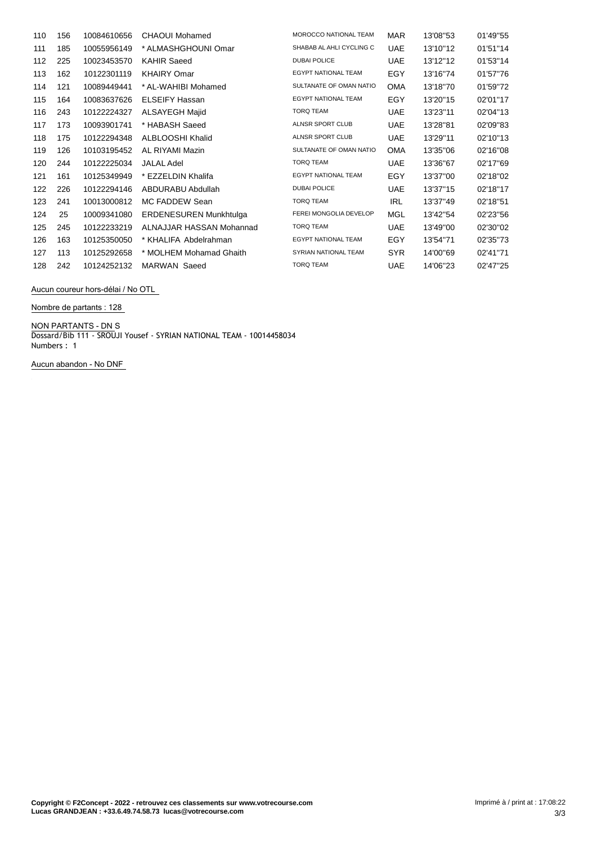| 110 | 156 | 10084610656 | <b>CHAOUI Mohamed</b>         | <b>MOROCCO NATIONAL TEAM</b> | <b>MAR</b> | 13'08"53 | 01'49"55 |
|-----|-----|-------------|-------------------------------|------------------------------|------------|----------|----------|
| 111 | 185 | 10055956149 | * ALMASHGHOUNI Omar           | SHABAB AL AHLI CYCLING C     | <b>UAE</b> | 13'10"12 | 01'51"14 |
| 112 | 225 | 10023453570 | <b>KAHIR Saeed</b>            | <b>DUBAI POLICE</b>          | <b>UAE</b> | 13'12"12 | 01'53"14 |
| 113 | 162 | 10122301119 | <b>KHAIRY Omar</b>            | <b>EGYPT NATIONAL TEAM</b>   | EGY        | 13'16"74 | 01'57"76 |
| 114 | 121 | 10089449441 | * AL-WAHIBI Mohamed           | SULTANATE OF OMAN NATIO      | <b>OMA</b> | 13'18"70 | 01'59"72 |
| 115 | 164 | 10083637626 | <b>ELSEIFY Hassan</b>         | <b>EGYPT NATIONAL TEAM</b>   | <b>EGY</b> | 13'20"15 | 02'01"17 |
| 116 | 243 | 10122224327 | <b>ALSAYEGH Majid</b>         | <b>TORQ TEAM</b>             | <b>UAE</b> | 13'23"11 | 02'04"13 |
| 117 | 173 | 10093901741 | * HABASH Saeed                | <b>ALNSR SPORT CLUB</b>      | <b>UAE</b> | 13'28"81 | 02'09"83 |
| 118 | 175 | 10122294348 | ALBLOOSHI Khalid              | ALNSR SPORT CLUB             | <b>UAE</b> | 13'29"11 | 02'10"13 |
| 119 | 126 | 10103195452 | AL RIYAMI Mazin               | SULTANATE OF OMAN NATIO      | <b>OMA</b> | 13'35"06 | 02'16"08 |
| 120 | 244 | 10122225034 | <b>JALAL Adel</b>             | <b>TORQ TEAM</b>             | <b>UAE</b> | 13'36"67 | 02'17"69 |
| 121 | 161 | 10125349949 | * EZZELDIN Khalifa            | <b>EGYPT NATIONAL TEAM</b>   | EGY        | 13'37"00 | 02'18"02 |
| 122 | 226 | 10122294146 | ABDURABU Abdullah             | <b>DUBAI POLICE</b>          | <b>UAE</b> | 13'37"15 | 02'18"17 |
| 123 | 241 | 10013000812 | MC FADDEW Sean                | <b>TORQ TEAM</b>             | <b>IRL</b> | 13'37"49 | 02'18"51 |
| 124 | 25  | 10009341080 | <b>ERDENESUREN Munkhtulga</b> | FEREI MONGOLIA DEVELOP       | MGL        | 13'42"54 | 02'23"56 |
| 125 | 245 | 10122233219 | ALNAJJAR HASSAN Mohannad      | <b>TORQ TEAM</b>             | <b>UAE</b> | 13'49"00 | 02'30"02 |
| 126 | 163 | 10125350050 | * KHALIFA Abdelrahman         | <b>EGYPT NATIONAL TEAM</b>   | <b>EGY</b> | 13'54"71 | 02'35"73 |
| 127 | 113 | 10125292658 | * MOLHEM Mohamad Ghaith       | SYRIAN NATIONAL TEAM         | <b>SYR</b> | 14'00"69 | 02'41"71 |
| 128 | 242 | 10124252132 | <b>MARWAN</b> Saeed           | <b>TORQ TEAM</b>             | <b>UAE</b> | 14'06"23 | 02'47"25 |

**Aucun coureur hors-délai / No OTL**

**Nombre de partants : 128**

**NON PARTANTS - DN** S

Dossard/Bib 111 - SROUJI Yousef - SYRIAN NATIONAL TEAM - 10014458034 Numbers : 1

**Aucun abandon - No DNF**

 $\ddot{\phantom{a}}$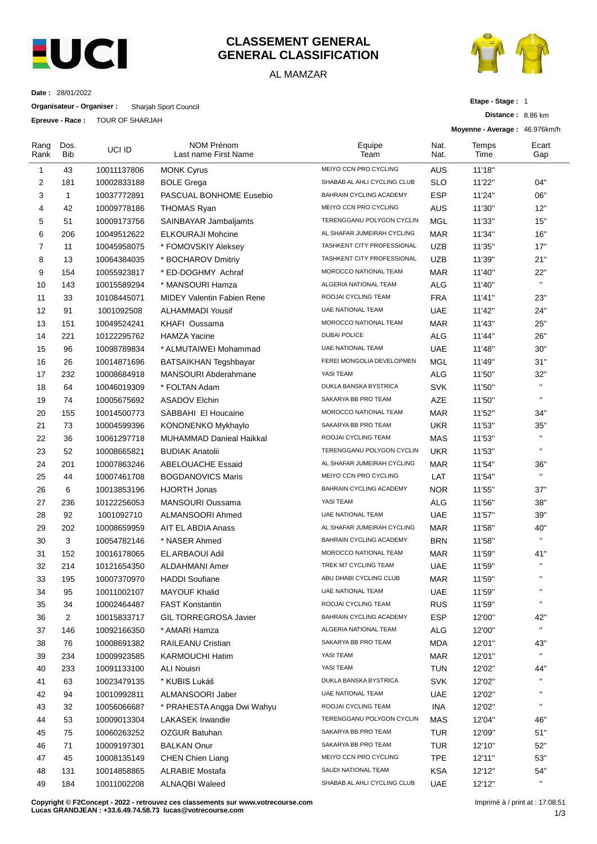

## **CLASSEMENT GENERAL GENERAL CLASSIFICATION**

## AL MAMZAR



**Distance :** 8.86 km

**Etape - Stage :** 1

**Date :** 28/01/2022

**Organisateur - Organiser :** Sharjah Sport Council

**Epreuve - Race :** TOUR OF SHARJAH

|                |              |             |                                           |                             |              | Moyenne - Average: 46.976km/h |              |
|----------------|--------------|-------------|-------------------------------------------|-----------------------------|--------------|-------------------------------|--------------|
| Rang<br>Rank   | Dos.<br>Bib  | UCI ID      | <b>NOM Prénom</b><br>Last name First Name | Equipe<br>Team              | Nat.<br>Nat. | Temps<br>Time                 | Ecart<br>Gap |
| 1              | 43           | 10011137806 | <b>MONK Cyrus</b>                         | MEIYO CCN PRO CYCLING       | AUS          | 11'18"                        |              |
| 2              | 181          | 10002833188 | <b>BOLE Grega</b>                         | SHABAB AL AHLI CYCLING CLUB | <b>SLO</b>   | 11'22"                        | 04"          |
| 3              | $\mathbf{1}$ | 10037772891 | PASCUAL BONHOME Eusebio                   | BAHRAIN CYCLING ACADEMY     | <b>ESP</b>   | 11'24"                        | 06"          |
| 4              | 42           | 10009778186 | <b>THOMAS Ryan</b>                        | MEIYO CCN PRO CYCLING       | AUS          | 11'30"                        | 12"          |
| 5              | 51           | 10009173756 | SAINBAYAR Jambaljamts                     | TERENGGANU POLYGON CYCLIN   | MGL          | 11'33"                        | 15"          |
| 6              | 206          | 10049512622 | <b>ELKOURAJI Mohcine</b>                  | AL SHAFAR JUMEIRAH CYCLING  | <b>MAR</b>   | 11'34"                        | 16"          |
| $\overline{7}$ | 11           | 10045958075 | * FOMOVSKIY Aleksey                       | TASHKENT CITY PROFESSIONAL  | <b>UZB</b>   | 11'35"                        | 17"          |
| 8              | 13           | 10064384035 | * BOCHAROV Dmitriy                        | TASHKENT CITY PROFESSIONAL  | <b>UZB</b>   | 11'39"                        | 21"          |
| 9              | 154          | 10055923817 | * ED-DOGHMY Achraf                        | MOROCCO NATIONAL TEAM       | <b>MAR</b>   | 11'40"                        | 22"          |
| 10             | 143          | 10015589294 | * MANSOURI Hamza                          | ALGERIA NATIONAL TEAM       | ALG          | 11'40"                        | $\mathbf{H}$ |
| 11             | 33           | 10108445071 | MIDEY Valentin Fabien Rene                | ROOJAI CYCLING TEAM         | <b>FRA</b>   | 11'41"                        | 23"          |
| 12             | 91           | 1001092508  | <b>ALHAMMADI Yousif</b>                   | <b>UAE NATIONAL TEAM</b>    | <b>UAE</b>   | 11'42"                        | 24"          |
| 13             | 151          | 10049524241 | <b>KHAFI Oussama</b>                      | MOROCCO NATIONAL TEAM       | <b>MAR</b>   | 11'43"                        | 25"          |
| 14             | 221          | 10122295762 | <b>HAMZA Yacine</b>                       | <b>DUBAI POLICE</b>         | ALG          | 11'44"                        | 26"          |
| 15             | 96           | 10098789834 | * ALMUTAIWEI Mohammad                     | <b>UAE NATIONAL TEAM</b>    | <b>UAE</b>   | 11'48"                        | 30"          |
| 16             | 26           | 10014871696 | <b>BATSAIKHAN Tegshbayar</b>              | FEREI MONGOLIA DEVELOPMEN   | MGL          | 11'49"                        | 31"          |
| 17             | 232          | 10008684918 | MANSOURI Abderahmane                      | YASI TEAM                   | ALG          | 11'50"                        | 32"          |
| 18             | 64           | 10046019309 | * FOLTAN Adam                             | DUKLA BANSKA BYSTRICA       | <b>SVK</b>   | 11'50"                        | $\mathbf{H}$ |
| 19             | 74           | 10005675692 | <b>ASADOV Elchin</b>                      | SAKARYA BB PRO TEAM         | <b>AZE</b>   | 11'50"                        | $\mathbf{H}$ |
| 20             | 155          | 10014500773 | SABBAHI El Houcaine                       | MOROCCO NATIONAL TEAM       | <b>MAR</b>   | 11'52"                        | 34"          |
| 21             | 73           | 10004599396 | KONONENKO Mykhaylo                        | SAKARYA BB PRO TEAM         | <b>UKR</b>   | 11'53"                        | 35"          |
| 22             | 36           | 10061297718 | <b>MUHAMMAD Danieal Haikkal</b>           | ROOJAI CYCLING TEAM         | MAS          | 11'53"                        | $\mathbf{H}$ |
| 23             | 52           | 10008665821 | <b>BUDIAK Anatolii</b>                    | TERENGGANU POLYGON CYCLIN   | <b>UKR</b>   | 11'53"                        | $\mathbf{H}$ |
| 24             | 201          | 10007863246 | <b>ABELOUACHE Essaid</b>                  | AL SHAFAR JUMEIRAH CYCLING  | <b>MAR</b>   | 11'54"                        | 36"          |
| 25             | 44           | 10007461708 | <b>BOGDANOVICS Maris</b>                  | MEIYO CCN PRO CYCLING       | LAT          | 11'54"                        | $\mathbf{H}$ |
| 26             | 6            | 10013853196 | <b>HJORTH Jonas</b>                       | BAHRAIN CYCLING ACADEMY     | <b>NOR</b>   | 11'55"                        | 37"          |
| 27             | 236          | 10122256053 | <b>MANSOURI Oussama</b>                   | YASI TEAM                   | ALG          | 11'56"                        | 38"          |
| 28             | 92           | 1001092710  | ALMANSOORI Ahmed                          | <b>UAE NATIONAL TEAM</b>    | <b>UAE</b>   | 11'57"                        | 39"          |
| 29             | 202          | 10008659959 | AIT EL ABDIA Anass                        | AL SHAFAR JUMEIRAH CYCLING  | MAR          | 11'58"                        | 40"          |
| 30             | 3            | 10054782146 | * NASER Ahmed                             | BAHRAIN CYCLING ACADEMY     | <b>BRN</b>   | 11'58"                        | $\mathbf{H}$ |
| 31             | 152          | 10016178065 | EL ARBAOUI Adil                           | MOROCCO NATIONAL TEAM       | <b>MAR</b>   | 11'59"                        | 41"          |
| 32             | 214          | 10121654350 | <b>ALDAHMANI Amer</b>                     | TREK M7 CYCLING TEAM        | <b>UAE</b>   | 11'59"                        | $\mathbf{H}$ |
| 33             | 195          | 10007370970 | <b>HADDI Soufiane</b>                     | ABU DHABI CYCLING CLUB      | MAR          | 11'59"                        |              |
| 34             | 95           | 10011002107 | <b>MAYOUF Khalid</b>                      | <b>UAE NATIONAL TEAM</b>    | <b>UAE</b>   | 11'59"                        | $\mathbf{H}$ |
| 35             | 34           | 10002464487 | <b>FAST Konstantin</b>                    | ROOJAI CYCLING TEAM         | <b>RUS</b>   | 11'59"                        | $\mathbf{H}$ |
| 36             | 2            | 10015833717 | <b>GIL TORREGROSA Javier</b>              | BAHRAIN CYCLING ACADEMY     | <b>ESP</b>   | 12'00"                        | 42"          |
| 37             | 146          | 10092166350 | * AMARI Hamza                             | ALGERIA NATIONAL TEAM       | <b>ALG</b>   | 12'00"                        | $\mathbf{H}$ |
| 38             | 76           | 10008691382 | RAILEANU Cristian                         | SAKARYA BB PRO TEAM         | <b>MDA</b>   | 12'01"                        | 43"          |
| 39             | 234          | 10009923585 | KARMOUCHI Hatim                           | YASI TEAM                   | <b>MAR</b>   | 12'01"                        | $\mathbf{H}$ |
| 40             | 233          | 10091133100 | ALI Nouisri                               | YASI TEAM                   | <b>TUN</b>   | 12'02"                        | 44"          |
| 41             | 63           | 10023479135 | * KUBIS Lukáš                             | DUKLA BANSKA BYSTRICA       | <b>SVK</b>   | 12'02"                        |              |
| 42             | 94           | 10010992811 | ALMANSOORI Jaber                          | UAE NATIONAL TEAM           | <b>UAE</b>   | 12'02"                        | $\mathbf{H}$ |
| 43             | 32           | 10056066687 | * PRAHESTA Angga Dwi Wahyu                | ROOJAI CYCLING TEAM         | INA          | 12'02"                        | $\mathbf{H}$ |
| 44             | 53           | 10009013304 | <b>LAKASEK Irwandie</b>                   | TERENGGANU POLYGON CYCLIN   | MAS          | 12'04"                        | 46"          |
| 45             | 75           | 10060263252 | OZGUR Batuhan                             | SAKARYA BB PRO TEAM         | TUR          | 12'09"                        | 51"          |
| 46             | 71           | 10009197301 | <b>BALKAN Onur</b>                        | SAKARYA BB PRO TEAM         | <b>TUR</b>   | 12'10"                        | 52"          |
| 47             | 45           | 10008135149 | <b>CHEN Chien Liang</b>                   | MEIYO CCN PRO CYCLING       | <b>TPE</b>   | 12'11"                        | 53"          |
| 48             | 131          | 10014858865 | <b>ALRABIE Mostafa</b>                    | SAUDI NATIONAL TEAM         | <b>KSA</b>   | 12'12"                        | 54"          |
| 49             | 184          | 10011002208 | <b>ALNAQBI Waleed</b>                     | SHABAB AL AHLI CYCLING CLUB | UAE          | 12'12"                        | $\mathbf{H}$ |
|                |              |             |                                           |                             |              |                               |              |

**Copyright © F2Concept - 2022 - retrouvez ces classements sur www.votrecourse.com Lucas GRANDJEAN : +33.6.49.74.58.73 lucas@votrecourse.com**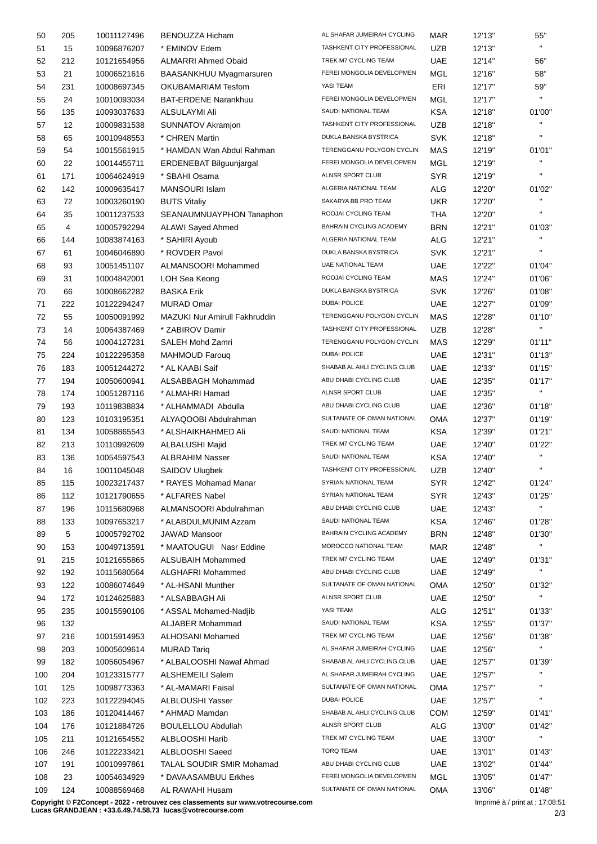| 50  | 205               | 10011127496                | <b>BENOUZZA Hicham</b>                                                           | AL SHAFAR JUMEIRAH CYCLING        | MAR               | 12'13" | 55"                             |
|-----|-------------------|----------------------------|----------------------------------------------------------------------------------|-----------------------------------|-------------------|--------|---------------------------------|
| 51  | 15                | 10096876207                | * EMINOV Edem                                                                    | <b>TASHKENT CITY PROFESSIONAL</b> | <b>UZB</b>        | 12'13" | $\mathbf{H}$                    |
| 52  | 212               | 10121654956                | <b>ALMARRI Ahmed Obaid</b>                                                       | TREK M7 CYCLING TEAM              | <b>UAE</b>        | 12'14" | 56"                             |
| 53  | 21                | 10006521616                | BAASANKHUU Myagmarsuren                                                          | FEREI MONGOLIA DEVELOPMEN         | MGL               | 12'16" | 58"                             |
| 54  | 231               | 10008697345                | OKUBAMARIAM Tesfom                                                               | YASI TEAM                         | ERI               | 12'17" | 59"                             |
| 55  | 24                | 10010093034                | <b>BAT-ERDENE Narankhuu</b>                                                      | FEREI MONGOLIA DEVELOPMEN         | MGL               | 12'17" | $\mathbf{H}$                    |
| 56  | 135               | 10093037633                | ALSULAYMI Ali                                                                    | SAUDI NATIONAL TEAM               | KSA               | 12'18" | 01'00"                          |
| 57  | $12 \overline{ }$ | 10009831538                | <b>SUNNATOV Akramjon</b>                                                         | TASHKENT CITY PROFESSIONAL        | <b>UZB</b>        | 12'18" | $\mathbf{H}$                    |
| 58  | 65                | 10010948553                | * CHREN Martin                                                                   | DUKLA BANSKA BYSTRICA             | <b>SVK</b>        | 12'18" | $\mathbf{u}$                    |
| 59  | 54                | 10015561915                | * HAMDAN Wan Abdul Rahman                                                        | TERENGGANU POLYGON CYCLIN         | MAS               | 12'19" | 01'01"                          |
| 60  | 22                | 10014455711                | ERDENEBAT Bilguunjargal                                                          | FEREI MONGOLIA DEVELOPMEN         | MGL               | 12'19" | $\mathbf{H}$                    |
| 61  | 171               | 10064624919                | * SBAHI Osama                                                                    | ALNSR SPORT CLUB                  | <b>SYR</b>        | 12'19" | $\mathbf{u}$                    |
| 62  | 142               | 10009635417                | <b>MANSOURI Islam</b>                                                            | ALGERIA NATIONAL TEAM             | <b>ALG</b>        | 12'20" | 01'02"                          |
| 63  | 72                | 10003260190                | <b>BUTS Vitaliy</b>                                                              | SAKARYA BB PRO TEAM               | <b>UKR</b>        | 12'20" | $\mathbf{u}$                    |
| 64  | 35                | 10011237533                | SEANAUMNUAYPHON Tanaphon                                                         | ROOJAI CYCLING TEAM               | THA               | 12'20" | $\mathbf{u}$                    |
| 65  | 4                 | 10005792294                | <b>ALAWI Sayed Ahmed</b>                                                         | BAHRAIN CYCLING ACADEMY           | <b>BRN</b>        | 12'21" | 01'03"                          |
| 66  | 144               | 10083874163                | * SAHIRI Ayoub                                                                   | ALGERIA NATIONAL TEAM             | <b>ALG</b>        | 12'21" | $\mathbf{H}$                    |
| 67  | 61                | 10046046890                | * ROVDER Pavol                                                                   | DUKLA BANSKA BYSTRICA             | <b>SVK</b>        | 12'21" | $\mathbf{u}$                    |
| 68  | 93                | 10051451107                | ALMANSOORI Mohammed                                                              | <b>UAE NATIONAL TEAM</b>          | <b>UAE</b>        | 12'22" | 01'04"                          |
| 69  | 31                | 10004842001                | LOH Sea Keong                                                                    | ROOJAI CYCLING TEAM               | <b>MAS</b>        | 12'24" | 01'06"                          |
| 70  | 66                | 10008662282                | <b>BASKA Erik</b>                                                                | DUKLA BANSKA BYSTRICA             | <b>SVK</b>        | 12'26" | 01'08"                          |
| 71  | 222               | 10122294247                | <b>MURAD Omar</b>                                                                | <b>DUBAI POLICE</b>               | UAE               | 12'27" | 01'09"                          |
| 72  | 55                | 10050091992                | MAZUKI Nur Amirull Fakhruddin                                                    | TERENGGANU POLYGON CYCLIN         | MAS               | 12'28" | 01'10"                          |
| 73  | 14                | 10064387469                | * ZABIROV Damir                                                                  | TASHKENT CITY PROFESSIONAL        | <b>UZB</b>        | 12'28" | $\mathbf{u}$                    |
| 74  | 56                | 10004127231                | SALEH Mohd Zamri                                                                 | TERENGGANU POLYGON CYCLIN         | MAS               | 12'29" | 01'11''                         |
| 75  | 224               | 10122295358                | <b>MAHMOUD Faroug</b>                                                            | <b>DUBAI POLICE</b>               | <b>UAE</b>        | 12'31" | 01'13"                          |
| 76  | 183               | 10051244272                | * AL KAABI Saif                                                                  | SHABAB AL AHLI CYCLING CLUB       | <b>UAE</b>        | 12'33" | 01'15"                          |
| 77  | 194               | 10050600941                | ALSABBAGH Mohammad                                                               | ABU DHABI CYCLING CLUB            | <b>UAE</b>        | 12'35" | 01'17"                          |
| 78  | 174               | 10051287116                | * ALMAHRI Hamad                                                                  | ALNSR SPORT CLUB                  | UAE               | 12'35" | $\mathbf{H}$                    |
| 79  | 193               | 10119838834                | * ALHAMMADI Abdulla                                                              | ABU DHABI CYCLING CLUB            | <b>UAE</b>        | 12'36" | 01'18"                          |
| 80  | 123               | 10103195351                | ALYAQOOBI Abdulrahman                                                            | SULTANATE OF OMAN NATIONAL        | OMA               | 12'37" | 01'19"                          |
| 81  | 134               | 10058865543                | * ALSHAIKHAHMED Ali                                                              | SAUDI NATIONAL TEAM               | KSA               | 12'39" | 01'21"                          |
| 82  | 213               | 10110992609                | <b>ALBALUSHI Majid</b>                                                           | TREK M7 CYCLING TEAM              | UAE               | 12'40" | 01'22"                          |
| 83  | 136               | 10054597543                | <b>ALBRAHIM Nasser</b>                                                           | SAUDI NATIONAL TEAM               | KSA               | 12'40" | $\mathbf{H}$                    |
| 84  | 16                | 10011045048                | SAIDOV Ulugbek                                                                   | TASHKENT CITY PROFESSIONAL        | <b>UZB</b>        | 12'40" | $\mathbf{u}$                    |
| 85  | 115               | 10023217437                | * RAYES Mohamad Manar                                                            | SYRIAN NATIONAL TEAM              | SYR               | 12'42" | 01'24"                          |
| 86  | 112               | 10121790655                | * ALFARES Nabel                                                                  | SYRIAN NATIONAL TEAM              | <b>SYR</b>        | 12'43" | 01'25"                          |
|     |                   |                            |                                                                                  | ABU DHABI CYCLING CLUB            |                   |        | $\mathbf{u}$                    |
| 87  | 196               | 10115680968                | ALMANSOORI Abdulrahman                                                           | SAUDI NATIONAL TEAM               | <b>UAE</b>        | 12'43" |                                 |
| 88  | 133<br>5          | 10097653217                | * ALABDULMUNIM Azzam<br><b>JAWAD Mansoor</b>                                     | BAHRAIN CYCLING ACADEMY           | KSA<br><b>BRN</b> | 12'46" | 01'28"<br>01'30"                |
| 89  |                   | 10005792702                | * MAATOUGUI Nasr Eddine                                                          | MOROCCO NATIONAL TEAM             |                   | 12'48" | $\mathbf{u}$                    |
| 90  | 153               | 10049713591<br>10121655865 | <b>ALSUBAIH Mohammed</b>                                                         | TREK M7 CYCLING TEAM              | MAR<br><b>UAE</b> | 12'48" |                                 |
| 91  | 215               |                            | <b>ALGHAFRI Mohammed</b>                                                         | ABU DHABI CYCLING CLUB            |                   | 12'49" | 01'31"<br>$\mathbf{u}$          |
| 92  | 192               | 10115680564                | * AL-HSANI Munther                                                               | SULTANATE OF OMAN NATIONAL        | <b>UAE</b>        | 12'49" |                                 |
| 93  | 122               | 10086074649                |                                                                                  | ALNSR SPORT CLUB                  | OMA               | 12'50" | 01'32"<br>$\mathbf{u}$          |
| 94  | 172               | 10124625883                | * ALSABBAGH Ali<br>* ASSAL Mohamed-Nadjib                                        | YASI TEAM                         | <b>UAE</b>        | 12'50" |                                 |
| 95  | 235               | 10015590106                |                                                                                  | SAUDI NATIONAL TEAM               | <b>ALG</b>        | 12'51" | 01'33"                          |
| 96  | 132               |                            | <b>ALJABER Mohammad</b>                                                          | TREK M7 CYCLING TEAM              | KSA               | 12'55" | 01'37"                          |
| 97  | 216               | 10015914953                | ALHOSANI Mohamed                                                                 | AL SHAFAR JUMEIRAH CYCLING        | <b>UAE</b>        | 12'56" | 01'38"<br>$\mathbf{H}$          |
| 98  | 203               | 10005609614                | <b>MURAD Tariq</b>                                                               | SHABAB AL AHLI CYCLING CLUB       | <b>UAE</b>        | 12'56" |                                 |
| 99  | 182               | 10056054967                | * ALBALOOSHI Nawaf Ahmad                                                         |                                   | UAE               | 12'57" | 01'39"<br>$\mathbf{H}$          |
| 100 | 204               | 10123315777                | <b>ALSHEMEILI Salem</b>                                                          | AL SHAFAR JUMEIRAH CYCLING        | <b>UAE</b>        | 12'57" | $\mathbf{H}$                    |
| 101 | 125               | 10098773363                | * AL-MAMARI Faisal                                                               | SULTANATE OF OMAN NATIONAL        | OMA               | 12'57" | $\mathbf{H}$                    |
| 102 | 223               | 10122294045                | <b>ALBLOUSHI Yasser</b>                                                          | <b>DUBAI POLICE</b>               | <b>UAE</b>        | 12'57" |                                 |
| 103 | 186               | 10120414467                | * AHMAD Mamdan                                                                   | SHABAB AL AHLI CYCLING CLUB       | <b>COM</b>        | 12'59" | 01'41"                          |
| 104 | 176               | 10121884726                | <b>BOULELLOU Abdullah</b>                                                        | ALNSR SPORT CLUB                  | <b>ALG</b>        | 13'00" | 01'42"<br>$\mathbf{H}$          |
| 105 | 211               | 10121654552                | ALBLOOSHI Harib                                                                  | TREK M7 CYCLING TEAM              | <b>UAE</b>        | 13'00" |                                 |
| 106 | 246               | 10122233421                | ALBLOOSHI Saeed                                                                  | <b>TORQ TEAM</b>                  | <b>UAE</b>        | 13'01" | 01'43"                          |
| 107 | 191               | 10010997861                | <b>TALAL SOUDIR SMIR Mohamad</b>                                                 | ABU DHABI CYCLING CLUB            | <b>UAE</b>        | 13'02" | 01'44"                          |
| 108 | 23                | 10054634929                | * DAVAASAMBUU Erkhes                                                             | FEREI MONGOLIA DEVELOPMEN         | MGL               | 13'05" | 01'47"                          |
| 109 | 124               | 10088569468                | AL RAWAHI Husam                                                                  | SULTANATE OF OMAN NATIONAL        | OMA               | 13'06" | 01'48"                          |
|     |                   |                            | Copyright © F2Concept - 2022 - retrouvez ces classements sur www.votrecourse.com |                                   |                   |        | Imprimé à / print at : 17:08:51 |

**Copyright © F2Concept - 2022 - retrouvez ces classements sur www.votrecourse.com**

**Lucas GRANDJEAN : +33.6.49.74.58.73 lucas@votrecourse.com**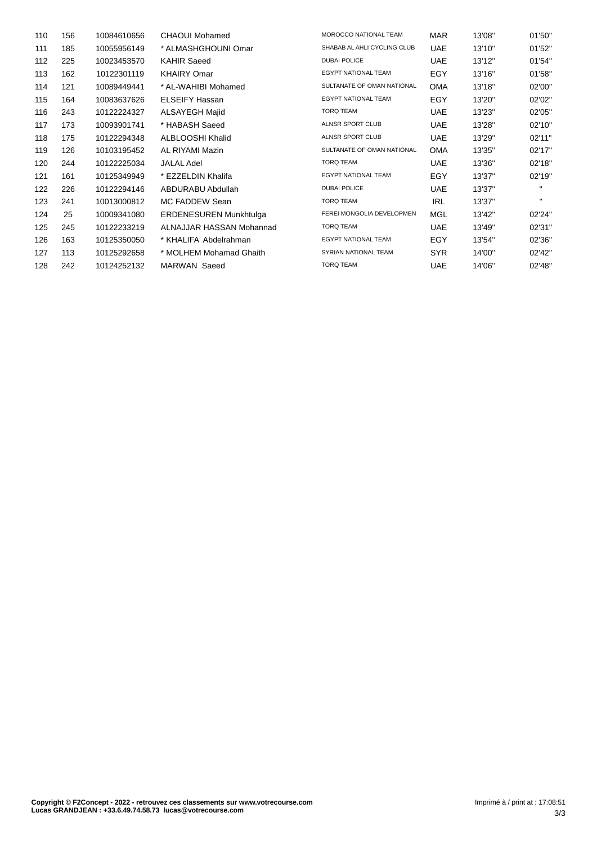| 110 | 156 | 10084610656 | CHAOUI Mohamed                | MOROCCO NATIONAL TEAM       | <b>MAR</b> | 13'08" | 01'50"       |
|-----|-----|-------------|-------------------------------|-----------------------------|------------|--------|--------------|
| 111 | 185 | 10055956149 | * ALMASHGHOUNI Omar           | SHABAB AL AHLI CYCLING CLUB | <b>UAE</b> | 13'10" | 01'52"       |
| 112 | 225 | 10023453570 | <b>KAHIR Saeed</b>            | <b>DUBAI POLICE</b>         | <b>UAE</b> | 13'12" | 01'54"       |
| 113 | 162 | 10122301119 | <b>KHAIRY Omar</b>            | <b>EGYPT NATIONAL TEAM</b>  | EGY        | 13'16" | 01'58"       |
| 114 | 121 | 10089449441 | * AL-WAHIBI Mohamed           | SULTANATE OF OMAN NATIONAL  | <b>OMA</b> | 13'18" | 02'00"       |
| 115 | 164 | 10083637626 | <b>ELSEIFY Hassan</b>         | <b>EGYPT NATIONAL TEAM</b>  | EGY        | 13'20" | 02'02"       |
| 116 | 243 | 10122224327 | <b>ALSAYEGH Majid</b>         | <b>TORQ TEAM</b>            | <b>UAE</b> | 13'23" | 02'05"       |
| 117 | 173 | 10093901741 | * HABASH Saeed                | <b>ALNSR SPORT CLUB</b>     | <b>UAE</b> | 13'28" | 02'10"       |
| 118 | 175 | 10122294348 | ALBLOOSHI Khalid              | <b>ALNSR SPORT CLUB</b>     | <b>UAE</b> | 13'29" | 02'11"       |
| 119 | 126 | 10103195452 | AL RIYAMI Mazin               | SULTANATE OF OMAN NATIONAL  | <b>OMA</b> | 13'35" | 02'17"       |
| 120 | 244 | 10122225034 | <b>JALAL Adel</b>             | <b>TORQ TEAM</b>            | <b>UAE</b> | 13'36" | 02'18"       |
| 121 | 161 | 10125349949 | * EZZELDIN Khalifa            | <b>EGYPT NATIONAL TEAM</b>  | EGY        | 13'37" | 02'19"       |
| 122 | 226 | 10122294146 | ABDURABU Abdullah             | <b>DUBAI POLICE</b>         | <b>UAE</b> | 13'37" | $\mathbf{H}$ |
| 123 | 241 | 10013000812 | MC FADDEW Sean                | <b>TORQ TEAM</b>            | <b>IRL</b> | 13'37" | $\mathbf{H}$ |
| 124 | 25  | 10009341080 | <b>ERDENESUREN Munkhtulga</b> | FEREI MONGOLIA DEVELOPMEN   | <b>MGL</b> | 13'42" | 02'24"       |
| 125 | 245 | 10122233219 | ALNAJJAR HASSAN Mohannad      | <b>TORQ TEAM</b>            | <b>UAE</b> | 13'49" | 02'31"       |
| 126 | 163 | 10125350050 | * KHALIFA Abdelrahman         | <b>EGYPT NATIONAL TEAM</b>  | EGY        | 13'54" | 02'36"       |
| 127 | 113 | 10125292658 | * MOLHEM Mohamad Ghaith       | SYRIAN NATIONAL TEAM        | <b>SYR</b> | 14'00" | 02'42"       |
| 128 | 242 | 10124252132 | <b>MARWAN Saeed</b>           | <b>TORQ TEAM</b>            | <b>UAE</b> | 14'06" | 02'48"       |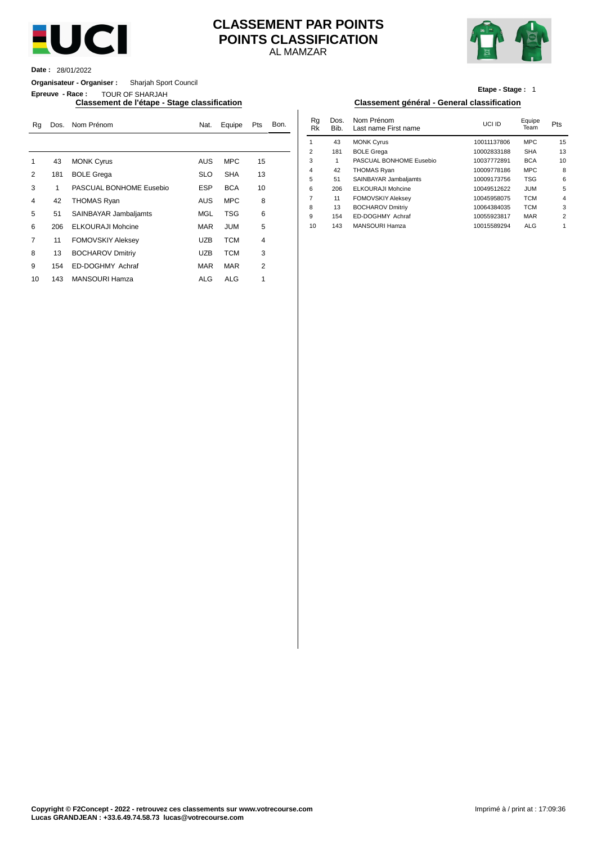

## AL MAMZAR **CLASSEMENT PAR POINTS POINTS CLASSIFICATION**



**Date :** 28/01/2022

**Organisateur - Organiser :** Sharjah Sport Council

**Epreuve - Race :** TOUR OF SHARJAH

### **Classement de l'étape - Stage classification Classement général - General classification**

| Rq             | Dos. | Nom Prénom               | Nat.       | Equipe     | Pts            | Bon. | Rg<br>Rk | Dos.<br>Bib. | Nom Prénom<br>Last name First name | UCI ID      | Equipe<br>Team | Pts            |
|----------------|------|--------------------------|------------|------------|----------------|------|----------|--------------|------------------------------------|-------------|----------------|----------------|
|                |      |                          |            |            |                |      |          | 43           | <b>MONK Cyrus</b>                  | 10011137806 | <b>MPC</b>     | 15             |
|                |      |                          |            |            |                |      | 2        | 181          | <b>BOLE Grega</b>                  | 10002833188 | <b>SHA</b>     | 13             |
|                | 43   | <b>MONK Cyrus</b>        | <b>AUS</b> | <b>MPC</b> | 15             |      | 3        |              | PASCUAL BONHOME Eusebio            | 10037772891 | <b>BCA</b>     | 1 <sup>1</sup> |
| 2              | 181  | <b>BOLE Grega</b>        | <b>SLO</b> | <b>SHA</b> | 13             |      | 4        | 42           | <b>THOMAS Ryan</b>                 | 10009778186 | <b>MPC</b>     | ٤              |
|                |      |                          |            |            |                |      | 5        | 51           | SAINBAYAR Jambaljamts              | 10009173756 | <b>TSG</b>     |                |
| 3              |      | PASCUAL BONHOME Eusebio  | <b>ESP</b> | <b>BCA</b> | 10             |      | 6        | 206          | <b>ELKOURAJI Mohcine</b>           | 10049512622 | <b>JUM</b>     |                |
| $\overline{4}$ | 42   | <b>THOMAS Ryan</b>       | <b>AUS</b> | <b>MPC</b> | 8              |      |          | 11           | <b>FOMOVSKIY Aleksey</b>           | 10045958075 | <b>TCM</b>     |                |
|                |      |                          |            |            |                |      | 8        | 13           | <b>BOCHAROV Dmitriy</b>            | 10064384035 | <b>TCM</b>     |                |
| 5              | 51   | SAINBAYAR Jambaljamts    | MGL        | <b>TSG</b> | 6              |      | 9        | 154          | ED-DOGHMY Achraf                   | 10055923817 | <b>MAR</b>     |                |
| 6              | 206  | <b>ELKOURAJI Mohcine</b> | <b>MAR</b> | JUM        | 5              |      | 10       | 143          | <b>MANSOURI Hamza</b>              | 10015589294 | <b>ALG</b>     |                |
| $\overline{7}$ | 11   | <b>FOMOVSKIY Aleksey</b> | <b>UZB</b> | <b>TCM</b> | 4              |      |          |              |                                    |             |                |                |
| 8              | 13   | <b>BOCHAROV Dmitriy</b>  | <b>UZB</b> | <b>TCM</b> | 3              |      |          |              |                                    |             |                |                |
| 9              | 154  | ED-DOGHMY Achraf         | <b>MAR</b> | <b>MAR</b> | $\overline{2}$ |      |          |              |                                    |             |                |                |
| 10             | 143  | <b>MANSOURI Hamza</b>    | ALG        | <b>ALG</b> |                |      |          |              |                                    |             |                |                |

## **Etape - Stage :** 1

| Nat.       | Equipe     | Pts | Bon. | Rg<br>Rk       | Dos.<br>Bib. | Nom Prénom<br>Last name First name | UCI ID      | Equipe<br>Team | Pts            |
|------------|------------|-----|------|----------------|--------------|------------------------------------|-------------|----------------|----------------|
|            |            |     |      |                | 43           | <b>MONK Cyrus</b>                  | 10011137806 | <b>MPC</b>     | 15             |
|            |            |     |      | 2              | 181          | <b>BOLE Grega</b>                  | 10002833188 | <b>SHA</b>     | 13             |
| AUS        | <b>MPC</b> | 15  |      | 3              |              | PASCUAL BONHOME Eusebio            | 10037772891 | <b>BCA</b>     | 10             |
|            |            |     |      | $\overline{4}$ | 42           | <b>THOMAS Ryan</b>                 | 10009778186 | <b>MPC</b>     | 8              |
| SLO        | <b>SHA</b> | 13  |      | 5              | 51           | SAINBAYAR Jambaljamts              | 10009173756 | <b>TSG</b>     | 6              |
| ESP        | <b>BCA</b> | 10  |      | 6              | 206          | <b>ELKOURAJI Mohcine</b>           | 10049512622 | <b>JUM</b>     | 5              |
| AUS        | <b>MPC</b> | 8   |      | 7              | 11           | <b>FOMOVSKIY Aleksey</b>           | 10045958075 | <b>TCM</b>     | $\overline{4}$ |
|            |            |     |      | 8              | 13           | <b>BOCHAROV Dmitriv</b>            | 10064384035 | <b>TCM</b>     | 3              |
| MGL        | <b>TSG</b> | 6   |      | 9              | 154          | ED-DOGHMY Achraf                   | 10055923817 | <b>MAR</b>     | 2              |
| <b>MAR</b> | <b>JUM</b> | 5   |      | 10             | 143          | MANSOURI Hamza                     | 10015589294 | <b>ALG</b>     |                |
|            |            |     |      |                |              |                                    |             |                |                |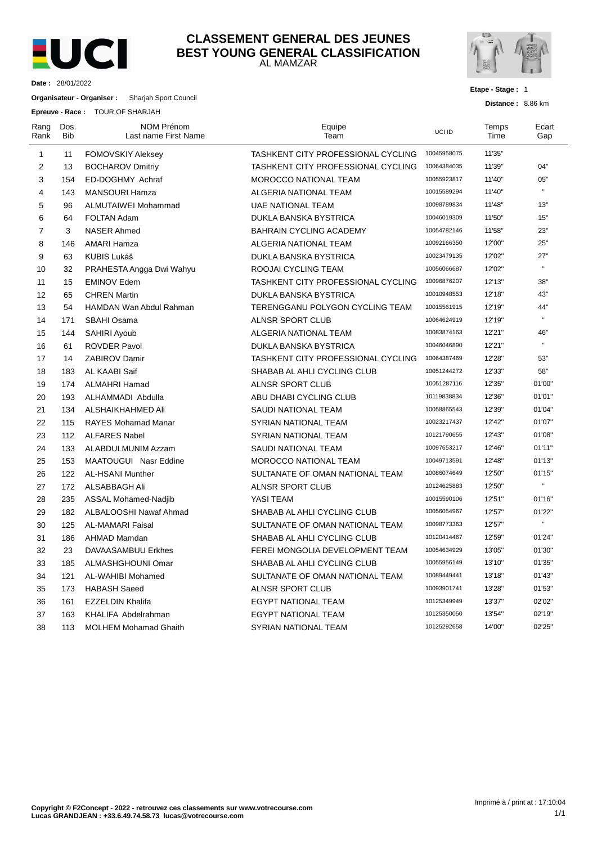

## AL MAMZAR **CLASSEMENT GENERAL DES JEUNES BEST YOUNG GENERAL CLASSIFICATION**



**Etape - Stage :** 1

**Distance :** 8.86 km

**Date :** 28/01/2022

**Organisateur - Organiser :** Sharjah Sport Council

**Epreuve - Race :** TOUR OF SHARJAH

| Rang<br>Rank   | Dos.<br>Bib | <b>NOM Prénom</b><br>Last name First Name | Equipe<br>Team                     | UCI ID      | Temps<br>Time | Ecart<br>Gap |
|----------------|-------------|-------------------------------------------|------------------------------------|-------------|---------------|--------------|
| $\mathbf{1}$   | 11          | <b>FOMOVSKIY Aleksey</b>                  | TASHKENT CITY PROFESSIONAL CYCLING | 10045958075 | 11'35"        |              |
| 2              | 13          | <b>BOCHAROV Dmitriy</b>                   | TASHKENT CITY PROFESSIONAL CYCLING | 10064384035 | 11'39"        | 04"          |
| 3              | 154         | ED-DOGHMY Achraf                          | MOROCCO NATIONAL TEAM              | 10055923817 | 11'40"        | 05"          |
| 4              | 143         | <b>MANSOURI Hamza</b>                     | ALGERIA NATIONAL TEAM              | 10015589294 | 11'40"        | $\mathbf{u}$ |
| 5              | 96          | ALMUTAIWEI Mohammad                       | <b>UAE NATIONAL TEAM</b>           | 10098789834 | 11'48"        | 13"          |
| 6              | 64          | <b>FOLTAN Adam</b>                        | DUKLA BANSKA BYSTRICA              | 10046019309 | 11'50"        | 15"          |
| $\overline{7}$ | 3           | <b>NASER Ahmed</b>                        | <b>BAHRAIN CYCLING ACADEMY</b>     | 10054782146 | 11'58"        | 23"          |
| 8              | 146         | <b>AMARI Hamza</b>                        | ALGERIA NATIONAL TEAM              | 10092166350 | 12'00"        | 25"          |
| 9              | 63          | <b>KUBIS Lukáš</b>                        | DUKLA BANSKA BYSTRICA              | 10023479135 | 12'02"        | 27"          |
| 10             | 32          | PRAHESTA Angga Dwi Wahyu                  | ROOJAI CYCLING TEAM                | 10056066687 | 12'02"        | $\mathbf{u}$ |
| 11             | 15          | <b>EMINOV Edem</b>                        | TASHKENT CITY PROFESSIONAL CYCLING | 10096876207 | 12'13"        | 38"          |
| 12             | 65          | <b>CHREN Martin</b>                       | DUKLA BANSKA BYSTRICA              | 10010948553 | 12'18"        | 43"          |
| 13             | 54          | <b>HAMDAN Wan Abdul Rahman</b>            | TERENGGANU POLYGON CYCLING TEAM    | 10015561915 | 12'19"        | 44"          |
| 14             | 171         | SBAHI Osama                               | ALNSR SPORT CLUB                   | 10064624919 | 12'19"        | $\mathbf{u}$ |
| 15             | 144         | SAHIRI Ayoub                              | ALGERIA NATIONAL TEAM              | 10083874163 | 12'21"        | 46"          |
| 16             | 61          | <b>ROVDER Pavol</b>                       | DUKLA BANSKA BYSTRICA              | 10046046890 | 12'21"        | $\mathbf{u}$ |
| 17             | 14          | <b>ZABIROV Damir</b>                      | TASHKENT CITY PROFESSIONAL CYCLING | 10064387469 | 12'28"        | 53"          |
| 18             | 183         | AL KAABI Saif                             | SHABAB AL AHLI CYCLING CLUB        | 10051244272 | 12'33"        | 58"          |
| 19             | 174         | <b>ALMAHRI Hamad</b>                      | ALNSR SPORT CLUB                   | 10051287116 | 12'35"        | 01'00"       |
| 20             | 193         | ALHAMMADI Abdulla                         | ABU DHABI CYCLING CLUB             | 10119838834 | 12'36"        | 01'01"       |
| 21             | 134         | ALSHAIKHAHMED Ali                         | SAUDI NATIONAL TEAM                | 10058865543 | 12'39"        | 01'04"       |
| 22             | 115         | <b>RAYES Mohamad Manar</b>                | SYRIAN NATIONAL TEAM               | 10023217437 | 12'42"        | 01'07"       |
| 23             | 112         | <b>ALFARES Nabel</b>                      | SYRIAN NATIONAL TEAM               | 10121790655 | 12'43"        | 01'08"       |
| 24             | 133         | <b>ALABDULMUNIM Azzam</b>                 | <b>SAUDI NATIONAL TEAM</b>         | 10097653217 | 12'46"        | 01'11"       |
| 25             | 153         | MAATOUGUI Nasr Eddine                     | <b>MOROCCO NATIONAL TEAM</b>       | 10049713591 | 12'48"        | 01'13"       |
| 26             | 122         | <b>AL-HSANI Munther</b>                   | SULTANATE OF OMAN NATIONAL TEAM    | 10086074649 | 12'50"        | 01'15"       |
| 27             | 172         | ALSABBAGH Ali                             | ALNSR SPORT CLUB                   | 10124625883 | 12'50"        | H.           |
| 28             | 235         | <b>ASSAL Mohamed-Nadjib</b>               | YASI TEAM                          | 10015590106 | 12'51"        | 01'16"       |
| 29             | 182         | ALBALOOSHI Nawaf Ahmad                    | SHABAB AL AHLI CYCLING CLUB        | 10056054967 | 12'57"        | 01'22"       |
| 30             | 125         | <b>AL-MAMARI Faisal</b>                   | SULTANATE OF OMAN NATIONAL TEAM    | 10098773363 | 12'57"        | $\mathbf{u}$ |
| 31             | 186         | AHMAD Mamdan                              | SHABAB AL AHLI CYCLING CLUB        | 10120414467 | 12'59"        | 01'24"       |
| 32             | 23          | DAVAASAMBUU Erkhes                        | FEREI MONGOLIA DEVELOPMENT TEAM    | 10054634929 | 13'05"        | 01'30"       |
| 33             | 185         | ALMASHGHOUNI Omar                         | SHABAB AL AHLI CYCLING CLUB        | 10055956149 | 13'10"        | 01'35"       |
| 34             | 121         | AL-WAHIBI Mohamed                         | SULTANATE OF OMAN NATIONAL TEAM    | 10089449441 | 13'18"        | 01'43"       |
| 35             | 173         | <b>HABASH Saeed</b>                       | <b>ALNSR SPORT CLUB</b>            | 10093901741 | 13'28"        | 01'53"       |
| 36             | 161         | <b>EZZELDIN Khalifa</b>                   | <b>EGYPT NATIONAL TEAM</b>         | 10125349949 | 13'37"        | 02'02"       |
| 37             | 163         | KHALIFA Abdelrahman                       | <b>EGYPT NATIONAL TEAM</b>         | 10125350050 | 13'54"        | 02'19"       |
| 38             | 113         | <b>MOLHEM Mohamad Ghaith</b>              | SYRIAN NATIONAL TEAM               | 10125292658 | 14'00"        | 02'25"       |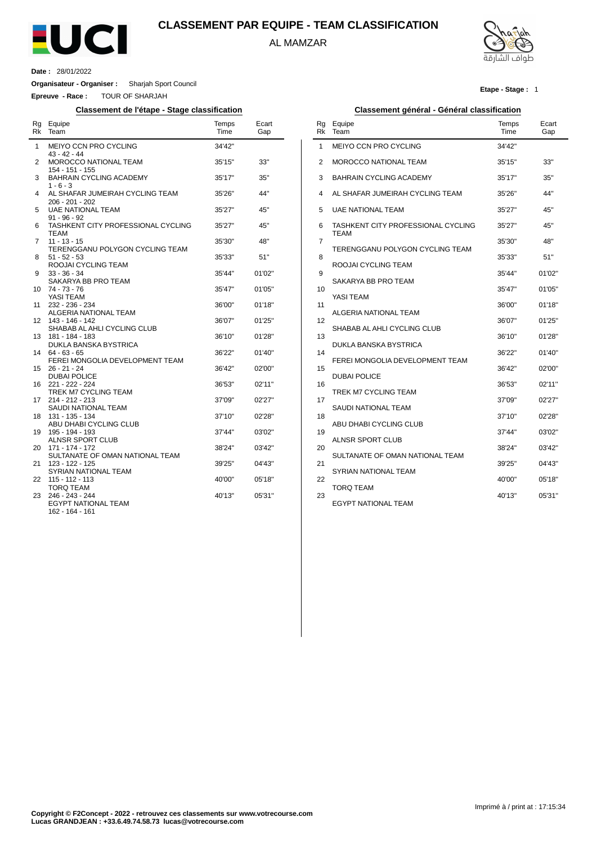

## **CLASSEMENT PAR EQUIPE - TEAM CLASSIFICATION**

AL MAMZAR

Ĭ.



**Etape - Stage :** 1

**Date :** 28/01/2022

 $\overline{a}$ 

**Organisateur - Organiser :** Sharjah Sport Council

**Epreuve - Race :** TOUR OF SHARJAH

### **Classement de l'étape - Stage classification Classement général - Général classification**

| Rg<br>Rk | Equipe<br>Team                                                   | Temps<br>Time    | Ecart<br>Gap     |
|----------|------------------------------------------------------------------|------------------|------------------|
| 1        | MEIYO CCN PRO CYCLING<br>43 - 42 - 44                            | 34'42"           |                  |
| 2        | MOROCCO NATIONAL TEAM<br>154 - 151 - 155                         | 35'15"           | 33"              |
| 3        | <b>BAHRAIN CYCLING ACADEMY</b><br>$1 - 6 - 3$                    | 35'17"           | 35"              |
| 4        | AL SHAFAR JUMEIRAH CYCLING TEAM<br>206 - 201 - 202               | 35'26"           | 44"              |
| 5        | <b>UAE NATIONAL TEAM</b><br>$91 - 96 - 92$                       | 35'27"           | 45"              |
| 6        | TASHKENT CITY PROFESSIONAL CYCLING<br><b>TEAM</b>                | 35'27"           | 45"              |
| 7        | $11 - 13 - 15$<br>TERENGGANU POLYGON CYCLING TEAM                | 35'30"           | 48"              |
| 8        | $51 - 52 - 53$<br>ROOJAI CYCLING TEAM                            | 35'33"           | 51"              |
| 9        | $33 - 36 - 34$<br>SAKARYA BB PRO TEAM                            | 35'44"           | 01'02"           |
| 10<br>11 | 74 - 73 - 76<br>YASI TEAM<br>232 - 236 - 234                     | 35'47"<br>36'00" | 01'05"<br>01'18" |
| 12       | ALGERIA NATIONAL TEAM<br>143 - 146 - 142                         | 36'07"           | 01'25"           |
| 13       | SHABAB AL AHLI CYCLING CLUB<br>181 - 184 - 183                   | 36'10"           | 01'28"           |
| 14       | <b>DUKLA BANSKA BYSTRICA</b><br>$64 - 63 - 65$                   | 36'22"           | 01'40"           |
| 15       | FEREI MONGOLIA DEVELOPMENT TEAM<br>26 - 21 - 24                  | 36'42"           | 02'00"           |
| 16       | <b>DUBAI POLICE</b><br>221 - 222 - 224                           | 36'53"           | 02'11"           |
| 17       | TREK M7 CYCLING TEAM<br>214 - 212 - 213                          | 37'09"           | 02'27"           |
| 18       | SAUDI NATIONAL TEAM<br>131 - 135 - 134<br>ABU DHABI CYCLING CLUB | 37'10"           | 02'28"           |
| 19       | 195 - 194 - 193<br><b>ALNSR SPORT CLUB</b>                       | 37'44"           | 03'02"           |
| 20       | 171 - 174 - 172<br>SULTANATE OF OMAN NATIONAL TEAM               | 38'24"           | 03'42"           |
| 21       | 123 - 122 - 125<br>SYRIAN NATIONAL TEAM                          | 39'25"           | 04'43"           |
| 22       | 115 - 112 - 113<br><b>TORQ TEAM</b>                              | 40'00"           | 05'18"           |
| 23       | 246 - 243 - 244<br><b>EGYPT NATIONAL TEAM</b><br>162 - 164 - 161 | 40'13"           | 05'31"           |

| Rg<br>Rk | Equipe<br>Team                                    | Temps<br>Time | Ecart<br>Gap |
|----------|---------------------------------------------------|---------------|--------------|
| 1        | MEIYO CCN PRO CYCLING                             | 34'42"        |              |
| 2        | <b>MOROCCO NATIONAL TEAM</b>                      | 35'15"        | 33"          |
| 3        | <b>BAHRAIN CYCLING ACADEMY</b>                    | 35'17"        | 35"          |
| 4        | AL SHAFAR JUMEIRAH CYCLING TEAM                   | 35'26"        | 44"          |
| 5        | <b>UAE NATIONAL TEAM</b>                          | 35'27"        | 45"          |
| 6        | TASHKENT CITY PROFESSIONAL CYCLING<br><b>TEAM</b> | 35'27"        | 45"          |
| 7        | TERENGGANU POLYGON CYCLING TEAM                   | 35'30"        | 48"          |
| 8        | ROOJAI CYCLING TEAM                               | 35'33"        | 51"          |
| 9        | SAKARYA BB PRO TEAM                               | 35'44"        | 01'02"       |
| 10       |                                                   | 35'47"        | 01'05"       |
| 11       | YASI TEAM                                         | 36'00"        | 01'18"       |
| 12       | ALGERIA NATIONAL TEAM                             | 36'07"        | 01'25"       |
| 13       | SHABAB AL AHLI CYCLING CLUB                       | 36'10"        | 01'28"       |
| 14       | DUKLA BANSKA BYSTRICA                             | 36'22"        | 01'40''      |
| 15       | FEREI MONGOLIA DEVELOPMENT TEAM                   | 36'42"        | 02'00"       |
| 16       | <b>DUBAI POLICE</b>                               | 36'53"        | 02'11"       |
|          | TREK M7 CYCLING TEAM                              |               |              |
| 17       | SAUDI NATIONAL TEAM                               | 37'09"        | 02'27"       |
| 18       | ABU DHABI CYCLING CLUB                            | 37'10"        | 02'28"       |
| 19       | <b>ALNSR SPORT CLUB</b>                           | 37'44"        | 03'02"       |
| 20       | SULTANATE OF OMAN NATIONAL TEAM                   | 38'24"        | 03'42"       |
| 21       |                                                   | 39'25"        | 04'43"       |
| 22       | SYRIAN NATIONAL TEAM                              | 40'00"        | 05'18"       |
| 23       | TORQ TEAM                                         | 40'13"        | 05'31"       |
|          | <b>EGYPT NATIONAL TEAM</b>                        |               |              |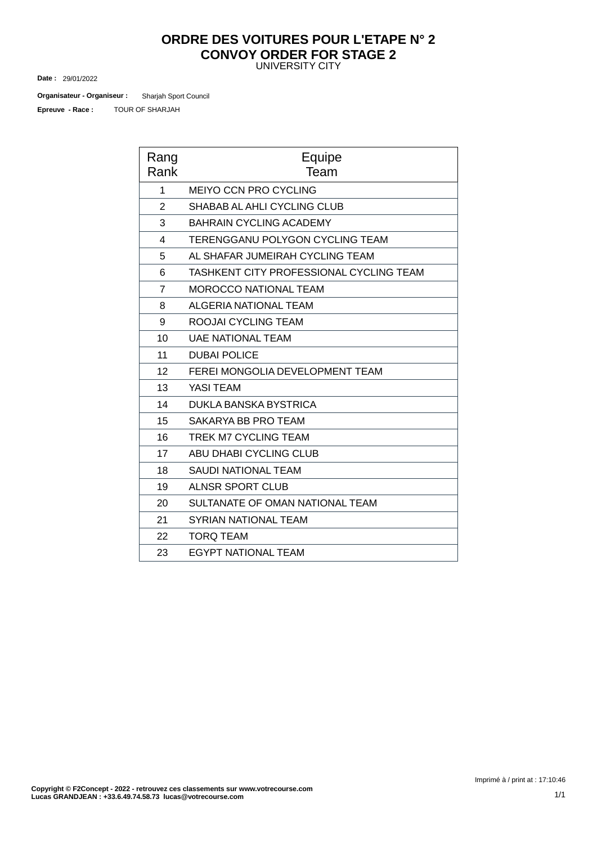## UNIVERSITY CITY **ORDRE DES VOITURES POUR L'ETAPE N° 2 CONVOY ORDER FOR STAGE 2**

29/01/2022 **Date :**

TOUR OF SHARJAH Sharjah Sport Council **Organisateur - Organiseur : Epreuve - Race :**

| Rang<br>Rank   | Equipe<br>Team                          |
|----------------|-----------------------------------------|
| 1              | <b>MEIYO CCN PRO CYCLING</b>            |
| 2              | SHABAB AL AHLI CYCLING CLUB             |
| 3              | <b>BAHRAIN CYCLING ACADEMY</b>          |
| 4              | TERENGGANU POLYGON CYCLING TEAM         |
| 5              | AL SHAFAR JUMEIRAH CYCLING TEAM         |
| 6              | TASHKENT CITY PROFESSIONAL CYCLING TEAM |
| $\overline{7}$ | <b>MOROCCO NATIONAL TEAM</b>            |
| 8              | ALGERIA NATIONAL TEAM                   |
| 9              | ROOJALCYCLING TEAM                      |
| 10             | <b>UAE NATIONAL TEAM</b>                |
| 11             | <b>DUBAI POLICE</b>                     |
| 12             | FEREI MONGOLIA DEVELOPMENT TEAM         |
| 13             | <b>YASI TEAM</b>                        |
| 14             | DUKLA BANSKA BYSTRICA                   |
| 15             | SAKARYA BB PRO TEAM                     |
| 16             | TREK M7 CYCLING TEAM                    |
| 17             | ABU DHABI CYCLING CLUB                  |
| 18             | <b>SAUDI NATIONAL TEAM</b>              |
| 19             | <b>ALNSR SPORT CLUB</b>                 |
| 20             | SULTANATE OF OMAN NATIONAL TEAM         |
| 21             | <b>SYRIAN NATIONAL TEAM</b>             |
| 22             | <b>TORQ TEAM</b>                        |
| 23             | <b>EGYPT NATIONAL TEAM</b>              |